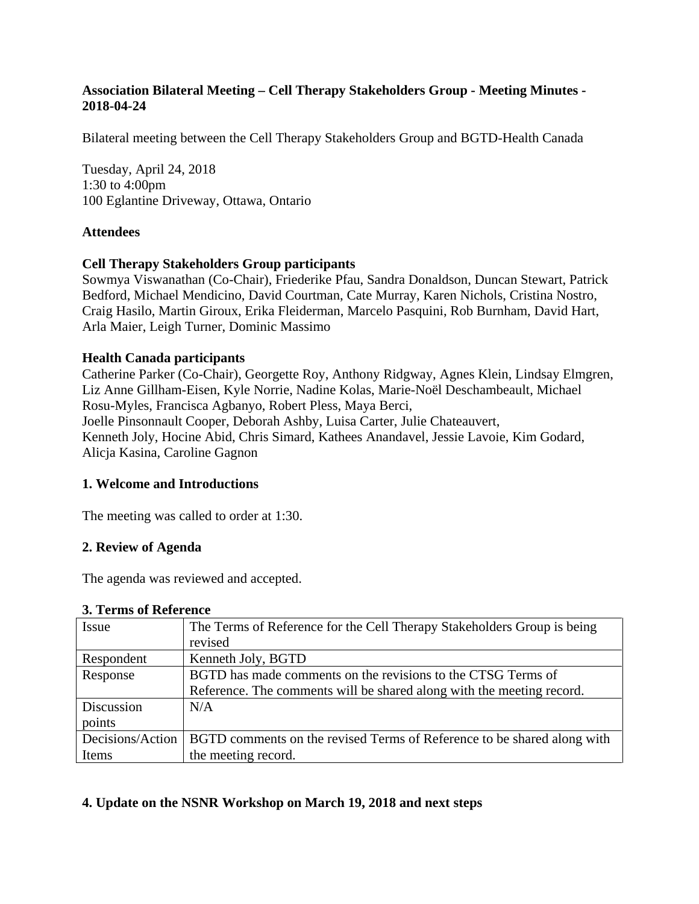## **Association Bilateral Meeting – Cell Therapy Stakeholders Group - Meeting Minutes - 2018-04-24**

Bilateral meeting between the Cell Therapy Stakeholders Group and BGTD-Health Canada

Tuesday, April 24, 2018 1:30 to 4:00pm 100 Eglantine Driveway, Ottawa, Ontario

### **Attendees**

#### **Cell Therapy Stakeholders Group participants**

Sowmya Viswanathan (Co-Chair), Friederike Pfau, Sandra Donaldson, Duncan Stewart, Patrick Bedford, Michael Mendicino, David Courtman, Cate Murray, Karen Nichols, Cristina Nostro, Craig Hasilo, Martin Giroux, Erika Fleiderman, Marcelo Pasquini, Rob Burnham, David Hart, Arla Maier, Leigh Turner, Dominic Massimo

#### **Health Canada participants**

Catherine Parker (Co-Chair), Georgette Roy, Anthony Ridgway, Agnes Klein, Lindsay Elmgren, Liz Anne Gillham-Eisen, Kyle Norrie, Nadine Kolas, Marie-Noël Deschambeault, Michael Rosu-Myles, Francisca Agbanyo, Robert Pless, Maya Berci, Joelle Pinsonnault Cooper, Deborah Ashby, Luisa Carter, Julie Chateauvert, Kenneth Joly, Hocine Abid, Chris Simard, Kathees Anandavel, Jessie Lavoie, Kim Godard, Alicja Kasina, Caroline Gagnon

#### **1. Welcome and Introductions**

The meeting was called to order at 1:30.

#### **2. Review of Agenda**

The agenda was reviewed and accepted.

#### **3. Terms of Reference**

| Issue            | The Terms of Reference for the Cell Therapy Stakeholders Group is being |
|------------------|-------------------------------------------------------------------------|
|                  | revised                                                                 |
| Respondent       | Kenneth Joly, BGTD                                                      |
| Response         | BGTD has made comments on the revisions to the CTSG Terms of            |
|                  | Reference. The comments will be shared along with the meeting record.   |
| Discussion       | N/A                                                                     |
| points           |                                                                         |
| Decisions/Action | BGTD comments on the revised Terms of Reference to be shared along with |
| Items            | the meeting record.                                                     |

#### **4. Update on the NSNR Workshop on March 19, 2018 and next steps**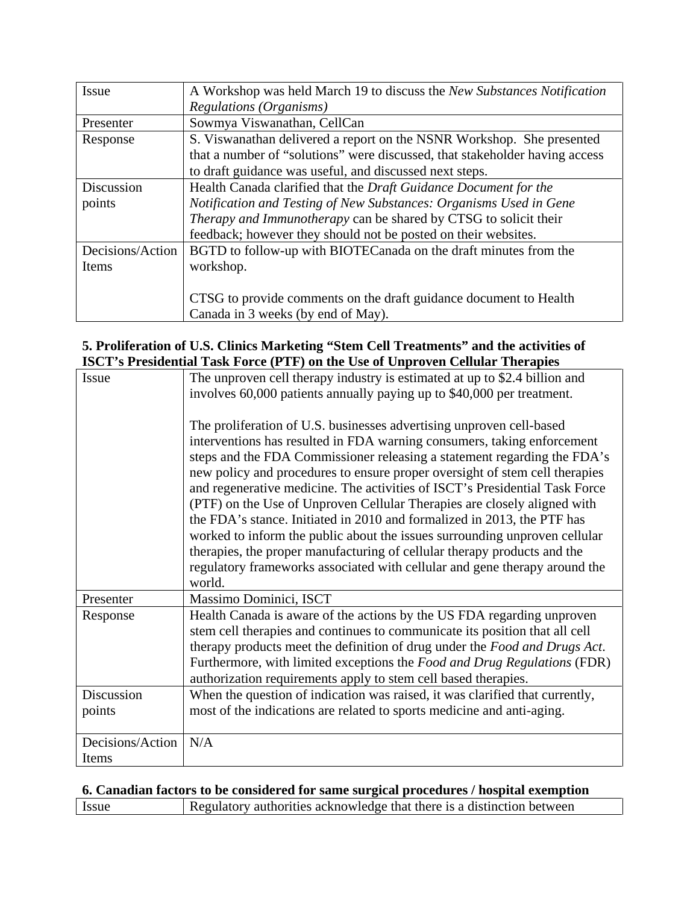| Issue            | A Workshop was held March 19 to discuss the New Substances Notification     |
|------------------|-----------------------------------------------------------------------------|
|                  | Regulations (Organisms)                                                     |
| Presenter        | Sowmya Viswanathan, CellCan                                                 |
| Response         | S. Viswanathan delivered a report on the NSNR Workshop. She presented       |
|                  | that a number of "solutions" were discussed, that stakeholder having access |
|                  | to draft guidance was useful, and discussed next steps.                     |
| Discussion       | Health Canada clarified that the Draft Guidance Document for the            |
| points           | Notification and Testing of New Substances: Organisms Used in Gene          |
|                  | Therapy and Immunotherapy can be shared by CTSG to solicit their            |
|                  | feedback; however they should not be posted on their websites.              |
| Decisions/Action | BGTD to follow-up with BIOTECanada on the draft minutes from the            |
| Items            | workshop.                                                                   |
|                  |                                                                             |
|                  | CTSG to provide comments on the draft guidance document to Health           |
|                  | Canada in 3 weeks (by end of May).                                          |

## **5. Proliferation of U.S. Clinics Marketing "Stem Cell Treatments" and the activities of ISCT's Presidential Task Force (PTF) on the Use of Unproven Cellular Therapies**

| noc't s'i resultinar fask force (f ff) on the Ose of emproven central filerapies |                                                                              |
|----------------------------------------------------------------------------------|------------------------------------------------------------------------------|
| Issue                                                                            | The unproven cell therapy industry is estimated at up to \$2.4 billion and   |
|                                                                                  | involves 60,000 patients annually paying up to \$40,000 per treatment.       |
|                                                                                  |                                                                              |
|                                                                                  | The proliferation of U.S. businesses advertising unproven cell-based         |
|                                                                                  | interventions has resulted in FDA warning consumers, taking enforcement      |
|                                                                                  | steps and the FDA Commissioner releasing a statement regarding the FDA's     |
|                                                                                  | new policy and procedures to ensure proper oversight of stem cell therapies  |
|                                                                                  | and regenerative medicine. The activities of ISCT's Presidential Task Force  |
|                                                                                  | (PTF) on the Use of Unproven Cellular Therapies are closely aligned with     |
|                                                                                  | the FDA's stance. Initiated in 2010 and formalized in 2013, the PTF has      |
|                                                                                  | worked to inform the public about the issues surrounding unproven cellular   |
|                                                                                  | therapies, the proper manufacturing of cellular therapy products and the     |
|                                                                                  | regulatory frameworks associated with cellular and gene therapy around the   |
|                                                                                  | world.                                                                       |
| Presenter                                                                        | Massimo Dominici, ISCT                                                       |
| Response                                                                         | Health Canada is aware of the actions by the US FDA regarding unproven       |
|                                                                                  | stem cell therapies and continues to communicate its position that all cell  |
|                                                                                  | therapy products meet the definition of drug under the Food and Drugs Act.   |
|                                                                                  | Furthermore, with limited exceptions the Food and Drug Regulations (FDR)     |
|                                                                                  | authorization requirements apply to stem cell based therapies.               |
| Discussion                                                                       | When the question of indication was raised, it was clarified that currently, |
| points                                                                           | most of the indications are related to sports medicine and anti-aging.       |
|                                                                                  |                                                                              |
| Decisions/Action                                                                 | N/A                                                                          |
| Items                                                                            |                                                                              |

## **6. Canadian factors to be considered for same surgical procedures / hospital exemption**

|--|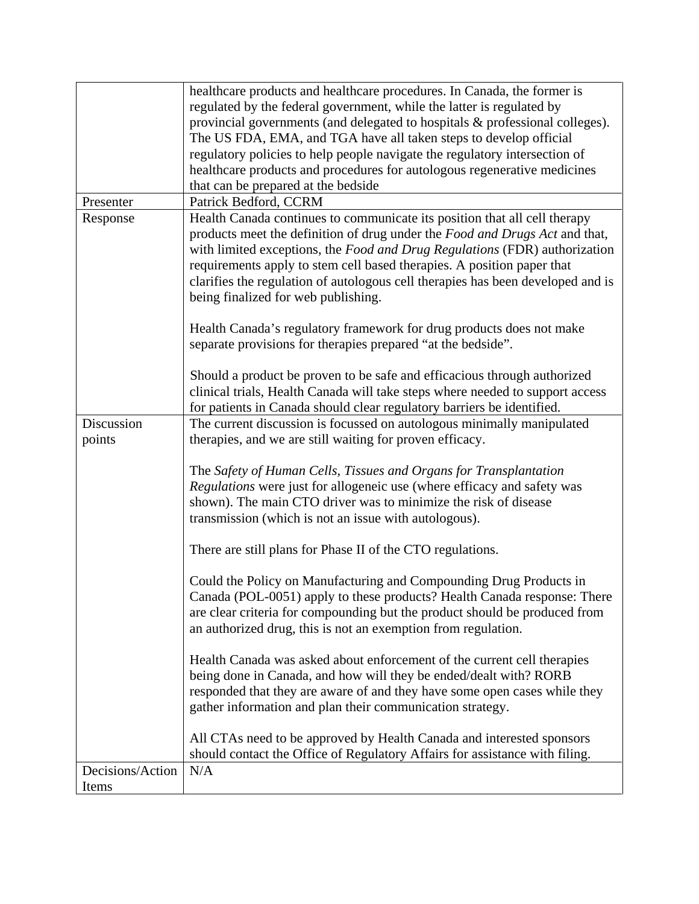|                  | healthcare products and healthcare procedures. In Canada, the former is         |
|------------------|---------------------------------------------------------------------------------|
|                  | regulated by the federal government, while the latter is regulated by           |
|                  | provincial governments (and delegated to hospitals & professional colleges).    |
|                  | The US FDA, EMA, and TGA have all taken steps to develop official               |
|                  | regulatory policies to help people navigate the regulatory intersection of      |
|                  | healthcare products and procedures for autologous regenerative medicines        |
|                  | that can be prepared at the bedside                                             |
| Presenter        | Patrick Bedford, CCRM                                                           |
| Response         | Health Canada continues to communicate its position that all cell therapy       |
|                  | products meet the definition of drug under the Food and Drugs Act and that,     |
|                  | with limited exceptions, the Food and Drug Regulations (FDR) authorization      |
|                  | requirements apply to stem cell based therapies. A position paper that          |
|                  | clarifies the regulation of autologous cell therapies has been developed and is |
|                  | being finalized for web publishing.                                             |
|                  |                                                                                 |
|                  | Health Canada's regulatory framework for drug products does not make            |
|                  | separate provisions for therapies prepared "at the bedside".                    |
|                  |                                                                                 |
|                  | Should a product be proven to be safe and efficacious through authorized        |
|                  | clinical trials, Health Canada will take steps where needed to support access   |
|                  | for patients in Canada should clear regulatory barriers be identified.          |
| Discussion       | The current discussion is focussed on autologous minimally manipulated          |
| points           | therapies, and we are still waiting for proven efficacy.                        |
|                  |                                                                                 |
|                  | The Safety of Human Cells, Tissues and Organs for Transplantation               |
|                  | Regulations were just for allogeneic use (where efficacy and safety was         |
|                  | shown). The main CTO driver was to minimize the risk of disease                 |
|                  | transmission (which is not an issue with autologous).                           |
|                  |                                                                                 |
|                  | There are still plans for Phase II of the CTO regulations.                      |
|                  |                                                                                 |
|                  | Could the Policy on Manufacturing and Compounding Drug Products in              |
|                  | Canada (POL-0051) apply to these products? Health Canada response: There        |
|                  | are clear criteria for compounding but the product should be produced from      |
|                  | an authorized drug, this is not an exemption from regulation.                   |
|                  |                                                                                 |
|                  | Health Canada was asked about enforcement of the current cell therapies         |
|                  | being done in Canada, and how will they be ended/dealt with? RORB               |
|                  | responded that they are aware of and they have some open cases while they       |
|                  | gather information and plan their communication strategy.                       |
|                  |                                                                                 |
|                  | All CTAs need to be approved by Health Canada and interested sponsors           |
|                  | should contact the Office of Regulatory Affairs for assistance with filing.     |
| Decisions/Action | N/A                                                                             |
| Items            |                                                                                 |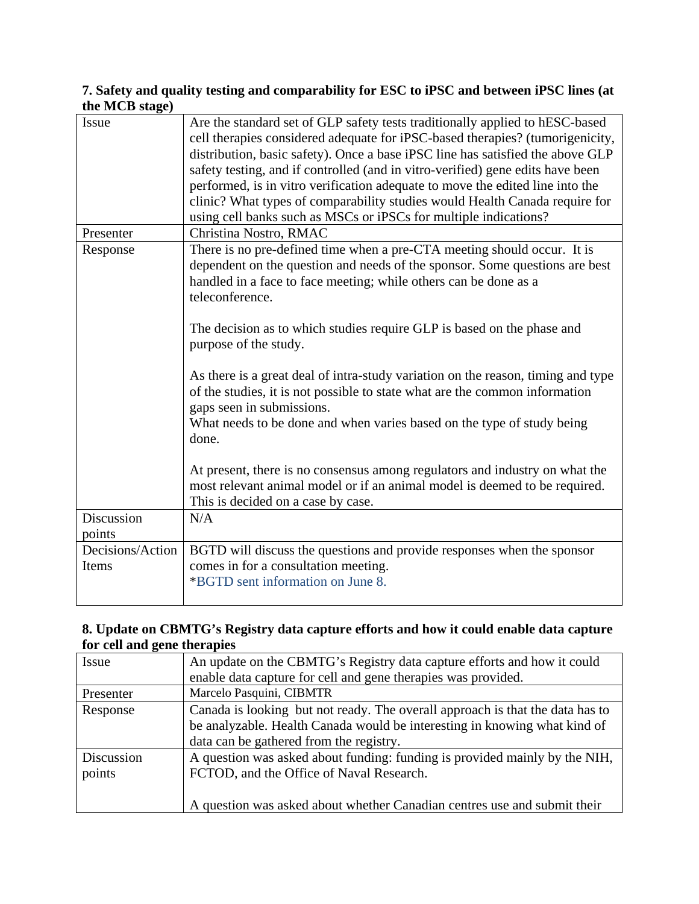## **7. Safety and quality testing and comparability for ESC to iPSC and between iPSC lines (at the MCB stage)**

| Issue                     | Are the standard set of GLP safety tests traditionally applied to hESC-based<br>cell therapies considered adequate for iPSC-based therapies? (tumorigenicity,<br>distribution, basic safety). Once a base iPSC line has satisfied the above GLP<br>safety testing, and if controlled (and in vitro-verified) gene edits have been<br>performed, is in vitro verification adequate to move the edited line into the<br>clinic? What types of comparability studies would Health Canada require for<br>using cell banks such as MSCs or iPSCs for multiple indications?                                                                                                                                                                                                                                                                  |
|---------------------------|----------------------------------------------------------------------------------------------------------------------------------------------------------------------------------------------------------------------------------------------------------------------------------------------------------------------------------------------------------------------------------------------------------------------------------------------------------------------------------------------------------------------------------------------------------------------------------------------------------------------------------------------------------------------------------------------------------------------------------------------------------------------------------------------------------------------------------------|
| Presenter                 | Christina Nostro, RMAC                                                                                                                                                                                                                                                                                                                                                                                                                                                                                                                                                                                                                                                                                                                                                                                                                 |
| Response                  | There is no pre-defined time when a pre-CTA meeting should occur. It is<br>dependent on the question and needs of the sponsor. Some questions are best<br>handled in a face to face meeting; while others can be done as a<br>teleconference.<br>The decision as to which studies require GLP is based on the phase and<br>purpose of the study.<br>As there is a great deal of intra-study variation on the reason, timing and type<br>of the studies, it is not possible to state what are the common information<br>gaps seen in submissions.<br>What needs to be done and when varies based on the type of study being<br>done.<br>At present, there is no consensus among regulators and industry on what the<br>most relevant animal model or if an animal model is deemed to be required.<br>This is decided on a case by case. |
| Discussion                | N/A                                                                                                                                                                                                                                                                                                                                                                                                                                                                                                                                                                                                                                                                                                                                                                                                                                    |
| points                    |                                                                                                                                                                                                                                                                                                                                                                                                                                                                                                                                                                                                                                                                                                                                                                                                                                        |
| Decisions/Action<br>Items | BGTD will discuss the questions and provide responses when the sponsor<br>comes in for a consultation meeting.<br>*BGTD sent information on June 8.                                                                                                                                                                                                                                                                                                                                                                                                                                                                                                                                                                                                                                                                                    |

## **8. Update on CBMTG's Registry data capture efforts and how it could enable data capture for cell and gene therapies**

| Issue                | An update on the CBMTG's Registry data capture efforts and how it could                                                                                                                               |
|----------------------|-------------------------------------------------------------------------------------------------------------------------------------------------------------------------------------------------------|
|                      | enable data capture for cell and gene therapies was provided.                                                                                                                                         |
| Presenter            | Marcelo Pasquini, CIBMTR                                                                                                                                                                              |
| Response             | Canada is looking but not ready. The overall approach is that the data has to<br>be analyzable. Health Canada would be interesting in knowing what kind of<br>data can be gathered from the registry. |
| Discussion<br>points | A question was asked about funding: funding is provided mainly by the NIH,<br>FCTOD, and the Office of Naval Research.<br>A question was asked about whether Canadian centres use and submit their    |